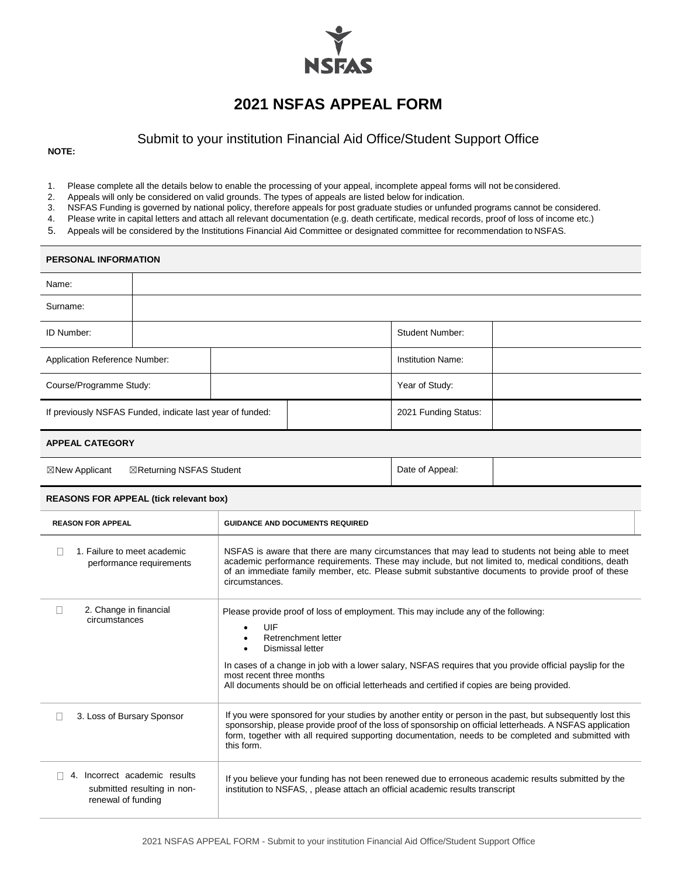

# **2021 NSFAS APPEAL FORM**

## Submit to your institution Financial Aid Office/Student Support Office

**NOTE:**

- 1. Please complete all the details below to enable the processing of your appeal, incomplete appeal forms will not be considered.
- 2. Appeals will only be considered on valid grounds. The types of appeals are listed below for indication.
- 3. NSFAS Funding is governed by national policy, therefore appeals for post graduate studies or unfunded programs cannot be considered.
- 4. Please write in capital letters and attach all relevant documentation (e.g. death certificate, medical records, proof of loss of income etc.)
- 5. Appeals will be considered by the Institutions Financial Aid Committee or designated committee for recommendation to NSFAS.

#### **PERSONAL INFORMATION**

| Name:                                                     |  |  |                        |                          |  |
|-----------------------------------------------------------|--|--|------------------------|--------------------------|--|
| Surname:                                                  |  |  |                        |                          |  |
| <b>ID Number:</b>                                         |  |  | <b>Student Number:</b> |                          |  |
| Application Reference Number:                             |  |  |                        | <b>Institution Name:</b> |  |
| Course/Programme Study:                                   |  |  |                        | Year of Study:           |  |
| If previously NSFAS Funded, indicate last year of funded: |  |  |                        | 2021 Funding Status:     |  |

### **APPEAL CATEGORY**

| $\boxtimes$ New Applicant | ⊠Returning NSFAS Student | Date of Appeal: |  |
|---------------------------|--------------------------|-----------------|--|
|---------------------------|--------------------------|-----------------|--|

#### **REASONS FOR APPEAL (tick relevant box)**

| <b>REASON FOR APPEAL</b>                                                              | <b>GUIDANCE AND DOCUMENTS REQUIRED</b>                                                                                                                                                                                                                                                                                                                                                              |  |
|---------------------------------------------------------------------------------------|-----------------------------------------------------------------------------------------------------------------------------------------------------------------------------------------------------------------------------------------------------------------------------------------------------------------------------------------------------------------------------------------------------|--|
| 1. Failure to meet academic<br>performance requirements                               | NSFAS is aware that there are many circumstances that may lead to students not being able to meet<br>academic performance requirements. These may include, but not limited to, medical conditions, death<br>of an immediate family member, etc. Please submit substantive documents to provide proof of these<br>circumstances.                                                                     |  |
| 2. Change in financial<br>circumstances                                               | Please provide proof of loss of employment. This may include any of the following:<br>UIF<br>$\bullet$<br>Retrenchment letter<br>٠<br>Dismissal letter<br>٠<br>In cases of a change in job with a lower salary, NSFAS requires that you provide official payslip for the<br>most recent three months<br>All documents should be on official letterheads and certified if copies are being provided. |  |
| 3. Loss of Bursary Sponsor                                                            | If you were sponsored for your studies by another entity or person in the past, but subsequently lost this<br>sponsorship, please provide proof of the loss of sponsorship on official letterheads. A NSFAS application<br>form, together with all required supporting documentation, needs to be completed and submitted with<br>this form.                                                        |  |
| Incorrect academic results<br>4.<br>submitted resulting in non-<br>renewal of funding | If you believe your funding has not been renewed due to erroneous academic results submitted by the<br>institution to NSFAS,, please attach an official academic results transcript                                                                                                                                                                                                                 |  |